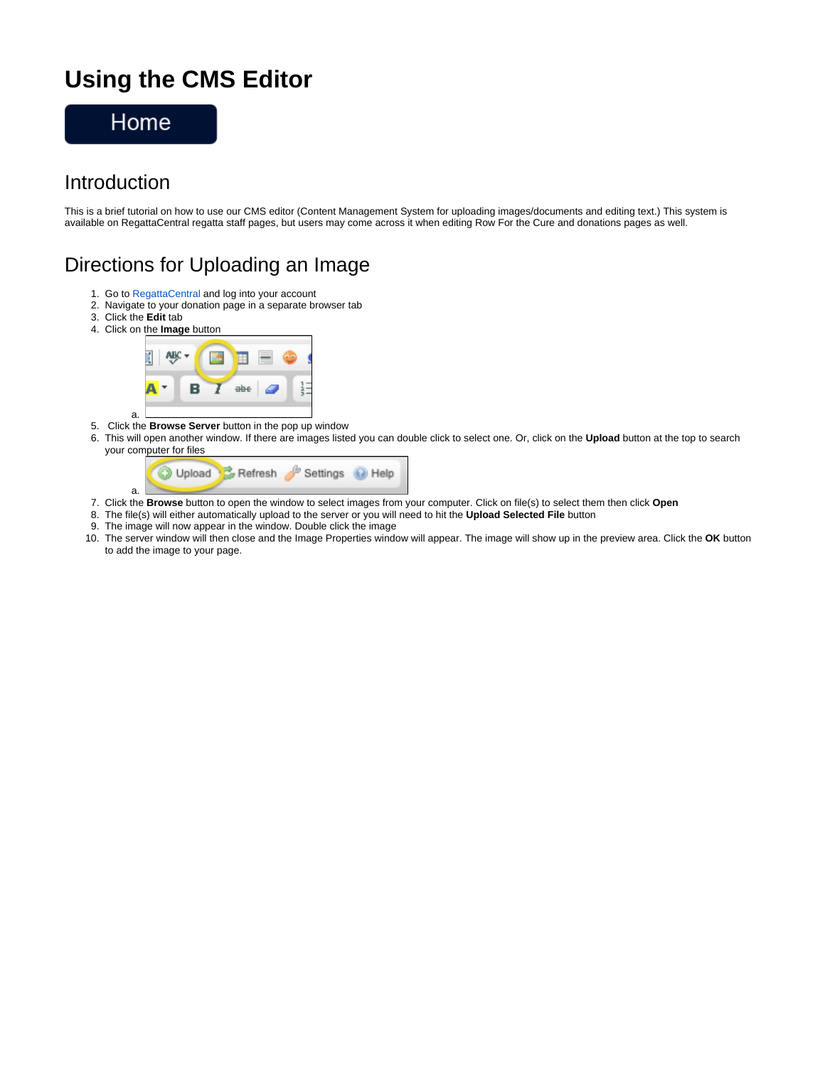# **Using the CMS Editor**



#### Introduction

This is a brief tutorial on how to use our CMS editor (Content Management System for uploading images/documents and editing text.) This system is available on RegattaCentral regatta staff pages, but users may come across it when editing Row For the Cure and donations pages as well.

#### Directions for Uploading an Image

- 1. Go to [RegattaCentral](http://www.regattacentral.com) and log into your account
- 2. Navigate to your donation page in a separate browser tab
- 3. Click the **Edit** tab

a.



- 5. Click the **Browse Server** button in the pop up window
- 6. This will open another window. If there are images listed you can double click to select one. Or, click on the **Upload** button at the top to search your computer for files



- 7. Click the **Browse** button to open the window to select images from your computer. Click on file(s) to select them then click **Open**
- 8. The file(s) will either automatically upload to the server or you will need to hit the **Upload Selected File** button
- 9. The image will now appear in the window. Double click the image
- 10. The server window will then close and the Image Properties window will appear. The image will show up in the preview area. Click the **OK** button to add the image to your page.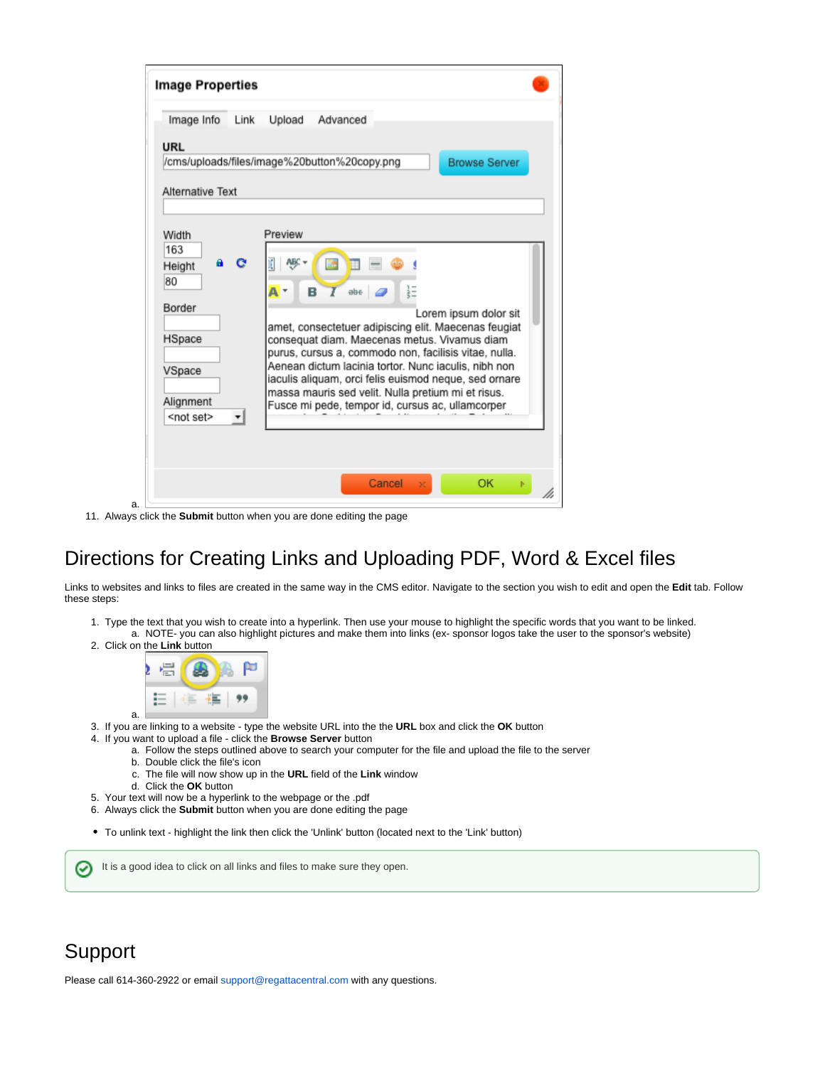| Image Info Link                              | Upload Advanced |                    |  |                                                                                                               |  |
|----------------------------------------------|-----------------|--------------------|--|---------------------------------------------------------------------------------------------------------------|--|
| URL                                          |                 |                    |  |                                                                                                               |  |
| /cms/uploads/files/image%20button%20copy.png |                 |                    |  | <b>Browse Server</b>                                                                                          |  |
| Alternative Text                             |                 |                    |  |                                                                                                               |  |
|                                              |                 |                    |  |                                                                                                               |  |
| Width                                        | Preview         |                    |  |                                                                                                               |  |
| 163                                          |                 |                    |  |                                                                                                               |  |
| Height                                       |                 |                    |  |                                                                                                               |  |
| 80                                           |                 |                    |  |                                                                                                               |  |
| Border                                       | A۰              | B<br>$\frac{1}{2}$ |  |                                                                                                               |  |
|                                              |                 |                    |  | Lorem ipsum dolor sit                                                                                         |  |
| HSpace                                       |                 |                    |  | amet, consectetuer adipiscing elit. Maecenas feugiat<br>consequat diam. Maecenas metus. Vivamus diam          |  |
|                                              |                 |                    |  | purus, cursus a, commodo non, facilisis vitae, nulla.                                                         |  |
| VSpace                                       |                 |                    |  | Aenean dictum lacinia tortor. Nunc iaculis, nibh non<br>iaculis aliquam, orci felis euismod neque, sed ornare |  |
|                                              |                 |                    |  | massa mauris sed velit. Nulla pretium mi et risus.                                                            |  |
| Alignment<br><not set=""></not>              |                 |                    |  | Fusce mi pede, tempor id, cursus ac, ullamcorper                                                              |  |
|                                              |                 |                    |  |                                                                                                               |  |
|                                              |                 |                    |  |                                                                                                               |  |

11. Always click the **Submit** button when you are done editing the page

### Directions for Creating Links and Uploading PDF, Word & Excel files

Links to websites and links to files are created in the same way in the CMS editor. Navigate to the section you wish to edit and open the **Edit** tab. Follow these steps:

- 1. Type the text that you wish to create into a hyperlink. Then use your mouse to highlight the specific words that you want to be linked. a. NOTE- you can also highlight pictures and make them into links (ex- sponsor logos take the user to the sponsor's website)
- 2. Click on the **Link** button

a.



- 3. If you are linking to a website type the website URL into the the **URL** box and click the **OK** button
- 4. If you want to upload a file click the **Browse Server** button
	- a. Follow the steps outlined above to search your computer for the file and upload the file to the server
	- b. Double click the file's icon
	- c. The file will now show up in the **URL** field of the **Link** window
	- d. Click the **OK** button
- 5. Your text will now be a hyperlink to the webpage or the .pdf
- 6. Always click the **Submit** button when you are done editing the page
- To unlink text highlight the link then click the 'Unlink' button (located next to the 'Link' button)

It is a good idea to click on all links and files to make sure they open. の

## Support

Please call 614-360-2922 or email [support@regattacentral.com](mailto:support@regattacentral.com) with any questions.